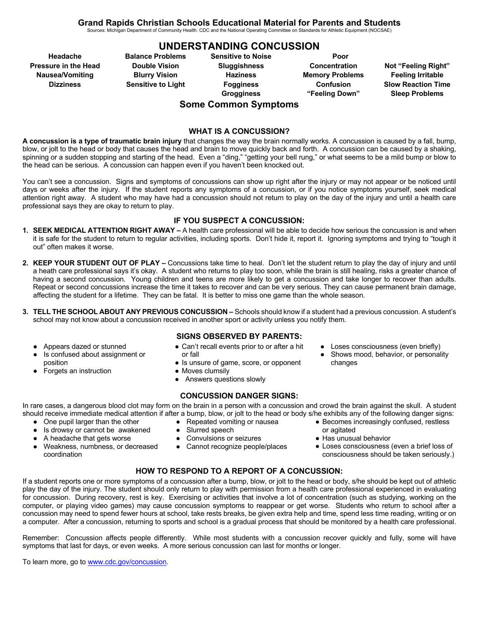Sources: Michigan Department of Community Health. CDC and the National Operating Committee on Standards for Athletic Equipment (NOCSAE)

## **UNDERSTANDING CONCUSSION**

**Headache Pressure in the Head Nausea/Vomiting Dizziness**

**Balance Problems Double Vision Blurry Vision Sensitive to Light**

#### **Sensitive to Noise Sluggishness Haziness Fogginess Grogginess Some Common Symptoms**

**Poor Concentration Memory Problems Confusion "Feeling Down"**

**Not "Feeling Right" Feeling Irritable Slow Reaction Time Sleep Problems**

#### **WHAT IS A CONCUSSION?**

**A concussion is a type of traumatic brain injury** that changes the way the brain normally works. A concussion is caused by a fall, bump, blow, or jolt to the head or body that causes the head and brain to move quickly back and forth. A concussion can be caused by a shaking, spinning or a sudden stopping and starting of the head. Even a "ding," "getting your bell rung," or what seems to be a mild bump or blow to the head can be serious. A concussion can happen even if you haven't been knocked out.

You can't see a concussion. Signs and symptoms of concussions can show up right after the injury or may not appear or be noticed until days or weeks after the injury. If the student reports any symptoms of a concussion, or if you notice symptoms yourself, seek medical attention right away. A student who may have had a concussion should not return to play on the day of the injury and until a health care professional says they are okay to return to play.

#### **IF YOU SUSPECT A CONCUSSION:**

- **1. SEEK MEDICAL ATTENTION RIGHT AWAY –** A health care professional will be able to decide how serious the concussion is and when it is safe for the student to return to regular activities, including sports. Don't hide it, report it. Ignoring symptoms and trying to "tough it out" often makes it worse.
- **2. KEEP YOUR STUDENT OUT OF PLAY –** Concussions take time to heal. Don't let the student return to play the day of injury and until a heath care professional says it's okay. A student who returns to play too soon, while the brain is still healing, risks a greater chance of having a second concussion. Young children and teens are more likely to get a concussion and take longer to recover than adults. Repeat or second concussions increase the time it takes to recover and can be very serious. They can cause permanent brain damage, affecting the student for a lifetime. They can be fatal. It is better to miss one game than the whole season.
- **3. TELL THE SCHOOL ABOUT ANY PREVIOUS CONCUSSION –** Schools should know if a student had a previous concussion. A student's school may not know about a concussion received in another sport or activity unless you notify them.
	- Appears dazed or stunned
	- Is confused about assignment or position
	- Forgets an instruction

#### **SIGNS OBSERVED BY PARENTS:**

- Can't recall events prior to or after a hit or fall
- Is unsure of game, score, or opponent
- Moves clumsily
- Answers questions slowly

#### **CONCUSSION DANGER SIGNS:**

In rare cases, a dangerous blood clot may form on the brain in a person with a concussion and crowd the brain against the skull. A student should receive immediate medical attention if after a bump, blow, or jolt to the head or body s/he exhibits any of the following danger signs:

- One pupil larger than the other
- Is drowsy or cannot be awakened
- A headache that gets worse
- Weakness, numbness, or decreased coordination
- Repeated vomiting or nausea ● Slurred speech
- Convulsions or seizures
- Cannot recognize people/places
- Loses consciousness (even briefly)
- Shows mood, behavior, or personality changes
- Becomes increasingly confused, restless or agitated
- Has unusual behavior
- Loses consciousness (even a brief loss of consciousness should be taken seriously.)

## **HOW TO RESPOND TO A REPORT OF A CONCUSSION:**

If a student reports one or more symptoms of a concussion after a bump, blow, or jolt to the head or body, s/he should be kept out of athletic play the day of the injury. The student should only return to play with permission from a health care professional experienced in evaluating for concussion. During recovery, rest is key. Exercising or activities that involve a lot of concentration (such as studying, working on the computer, or playing video games) may cause concussion symptoms to reappear or get worse. Students who return to school after a concussion may need to spend fewer hours at school, take rests breaks, be given extra help and time, spend less time reading, writing or on a computer. After a concussion, returning to sports and school is a gradual process that should be monitored by a health care professional.

Remember: Concussion affects people differently. While most students with a concussion recover quickly and fully, some will have symptoms that last for days, or even weeks. A more serious concussion can last for months or longer.

To learn more, go to www.cdc.gov/concussion.